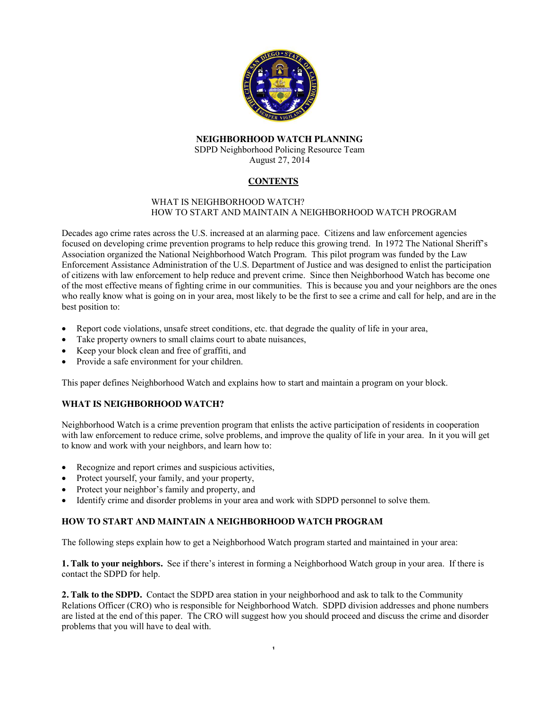

## **NEIGHBORHOOD WATCH PLANNING** SDPD Neighborhood Policing Resource Team

August 27, 2014

# **CONTENTS**

#### WHAT IS NEIGHBORHOOD WATCH? HOW TO START AND MAINTAIN A NEIGHBORHOOD WATCH PROGRAM

Decades ago crime rates across the U.S. increased at an alarming pace. Citizens and law enforcement agencies focused on developing crime prevention programs to help reduce this growing trend. In 1972 The National Sheriff's Association organized the National Neighborhood Watch Program. This pilot program was funded by the Law Enforcement Assistance Administration of the U.S. Department of Justice and was designed to enlist the participation of citizens with law enforcement to help reduce and prevent crime. Since then Neighborhood Watch has become one of the most effective means of fighting crime in our communities. This is because you and your neighbors are the ones who really know what is going on in your area, most likely to be the first to see a crime and call for help, and are in the best position to:

- Report code violations, unsafe street conditions, etc. that degrade the quality of life in your area,
- Take property owners to small claims court to abate nuisances,
- x Keep your block clean and free of graffiti, and
- Provide a safe environment for your children.

This paper defines Neighborhood Watch and explains how to start and maintain a program on your block.

#### **WHAT IS NEIGHBORHOOD WATCH?**

Neighborhood Watch is a crime prevention program that enlists the active participation of residents in cooperation with law enforcement to reduce crime, solve problems, and improve the quality of life in your area. In it you will get to know and work with your neighbors, and learn how to:

- Recognize and report crimes and suspicious activities,
- Protect yourself, your family, and your property,
- Protect your neighbor's family and property, and
- Identify crime and disorder problems in your area and work with SDPD personnel to solve them.

### **HOW TO START AND MAINTAIN A NEIGHBORHOOD WATCH PROGRAM**

The following steps explain how to get a Neighborhood Watch program started and maintained in your area:

**1. Talk to your neighbors.** See if there's interest in forming a Neighborhood Watch group in your area. If there is contact the SDPD for help.

**2. Talk to the SDPD.** Contact the SDPD area station in your neighborhood and ask to talk to the Community Relations Officer (CRO) who is responsible for Neighborhood Watch. SDPD division addresses and phone numbers are listed at the end of this paper. The CRO will suggest how you should proceed and discuss the crime and disorder problems that you will have to deal with.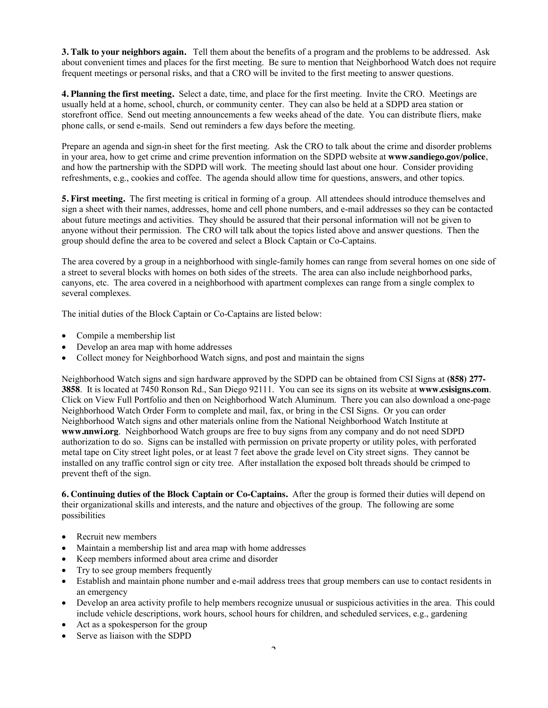**3. Talk to your neighbors again.** Tell them about the benefits of a program and the problems to be addressed. Ask about convenient times and places for the first meeting. Be sure to mention that Neighborhood Watch does not require frequent meetings or personal risks, and that a CRO will be invited to the first meeting to answer questions.

**4. Planning the first meeting.** Select a date, time, and place for the first meeting. Invite the CRO. Meetings are usually held at a home, school, church, or community center. They can also be held at a SDPD area station or storefront office. Send out meeting announcements a few weeks ahead of the date. You can distribute fliers, make phone calls, or send e-mails. Send out reminders a few days before the meeting.

Prepare an agenda and sign-in sheet for the first meeting. Ask the CRO to talk about the crime and disorder problems in your area, how to get crime and crime prevention information on the SDPD website at **www.sandiego.gov/police**, and how the partnership with the SDPD will work. The meeting should last about one hour. Consider providing refreshments, e.g., cookies and coffee. The agenda should allow time for questions, answers, and other topics.

**5. First meeting.** The first meeting is critical in forming of a group. All attendees should introduce themselves and sign a sheet with their names, addresses, home and cell phone numbers, and e-mail addresses so they can be contacted about future meetings and activities. They should be assured that their personal information will not be given to anyone without their permission. The CRO will talk about the topics listed above and answer questions. Then the group should define the area to be covered and select a Block Captain or Co-Captains.

The area covered by a group in a neighborhood with single-family homes can range from several homes on one side of a street to several blocks with homes on both sides of the streets. The area can also include neighborhood parks, canyons, etc. The area covered in a neighborhood with apartment complexes can range from a single complex to several complexes.

The initial duties of the Block Captain or Co-Captains are listed below:

- $\bullet$  Compile a membership list
- Develop an area map with home addresses
- Collect money for Neighborhood Watch signs, and post and maintain the signs

Neighborhood Watch signs and sign hardware approved by the SDPD can be obtained from CSI Signs at **(858) 277- 3858**. It is located at 7450 Ronson Rd., San Diego 92111. You can see its signs on its website at **[www.csisigns.com](http://www.csisigns.com/)**. Click on View Full Portfolio and then on Neighborhood Watch Aluminum. There you can also download a one-page Neighborhood Watch Order Form to complete and mail, fax, or bring in the CSI Signs. Or you can order Neighborhood Watch signs and other materials online from the National Neighborhood Watch Institute at **[www.nnwi.org](http://www.nnwi.org/)**. Neighborhood Watch groups are free to buy signs from any company and do not need SDPD authorization to do so. Signs can be installed with permission on private property or utility poles, with perforated metal tape on City street light poles, or at least 7 feet above the grade level on City street signs. They cannot be installed on any traffic control sign or city tree. After installation the exposed bolt threads should be crimped to prevent theft of the sign.

**6. Continuing duties of the Block Captain or Co-Captains.** After the group is formed their duties will depend on their organizational skills and interests, and the nature and objectives of the group. The following are some possibilities

- Recruit new members
- Maintain a membership list and area map with home addresses
- x Keep members informed about area crime and disorder
- Try to see group members frequently
- Establish and maintain phone number and e-mail address trees that group members can use to contact residents in an emergency
- Develop an area activity profile to help members recognize unusual or suspicious activities in the area. This could include vehicle descriptions, work hours, school hours for children, and scheduled services, e.g., gardening
- Act as a spokesperson for the group
- Serve as liaison with the SDPD